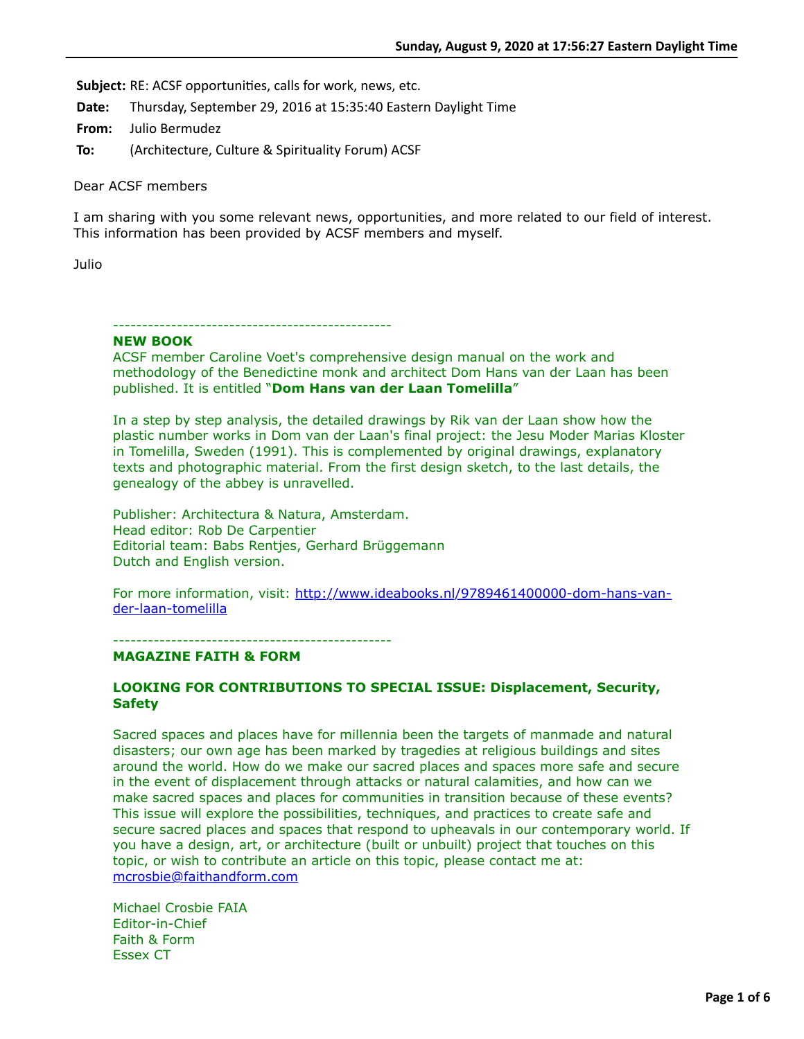**Subject:** RE: ACSF opportunities, calls for work, news, etc.

**Date:** Thursday, September 29, 2016 at 15:35:40 Eastern Daylight Time

**From:** Julio Bermudez

**To:** (Architecture, Culture & Spirituality Forum) ACSF

Dear ACSF members

I am sharing with you some relevant news, opportunities, and more related to our field of interest. This information has been provided by ACSF members and myself.

Julio

# ------------------------------------------------

**NEW BOOK**

ACSF member Caroline Voet's comprehensive design manual on the work and methodology of the Benedictine monk and architect Dom Hans van der Laan has been published. It is entitled "**Dom Hans van der Laan Tomelilla**"

In a step by step analysis, the detailed drawings by Rik van der Laan show how the plastic number works in Dom van der Laan's final project: the Jesu Moder Marias Kloster in Tomelilla, Sweden (1991). This is complemented by original drawings, explanatory texts and photographic material. From the first design sketch, to the last details, the genealogy of the abbey is unravelled.

Publisher: Architectura & Natura, Amsterdam. Head editor: Rob De Carpentier Editorial team: Babs Rentjes, Gerhard Brüggemann Dutch and English version.

[For more information, visit: http://www.ideabooks.nl/9789461400000-dom-hans-van](http://www.ideabooks.nl/9789461400000-dom-hans-van-der-laan-tomelilla)der-laan-tomelilla

------------------------------------------------

# **MAGAZINE FAITH & FORM**

# **LOOKING FOR CONTRIBUTIONS TO SPECIAL ISSUE: Displacement, Security, Safety**

Sacred spaces and places have for millennia been the targets of manmade and natural disasters; our own age has been marked by tragedies at religious buildings and sites around the world. How do we make our sacred places and spaces more safe and secure in the event of displacement through attacks or natural calamities, and how can we make sacred spaces and places for communities in transition because of these events? This issue will explore the possibilities, techniques, and practices to create safe and secure sacred places and spaces that respond to upheavals in our contemporary world. If you have a design, art, or architecture (built or unbuilt) project that touches on this topic, or wish to contribute an article on this topic, please contact me at: [mcrosbie@faithandform.com](applewebdata://6B19B541-2CDD-4901-83DB-20740B738C18/mcrosbie@faithandform.com)

Michael Crosbie FAIA Editor-in-Chief Faith & Form Essex CT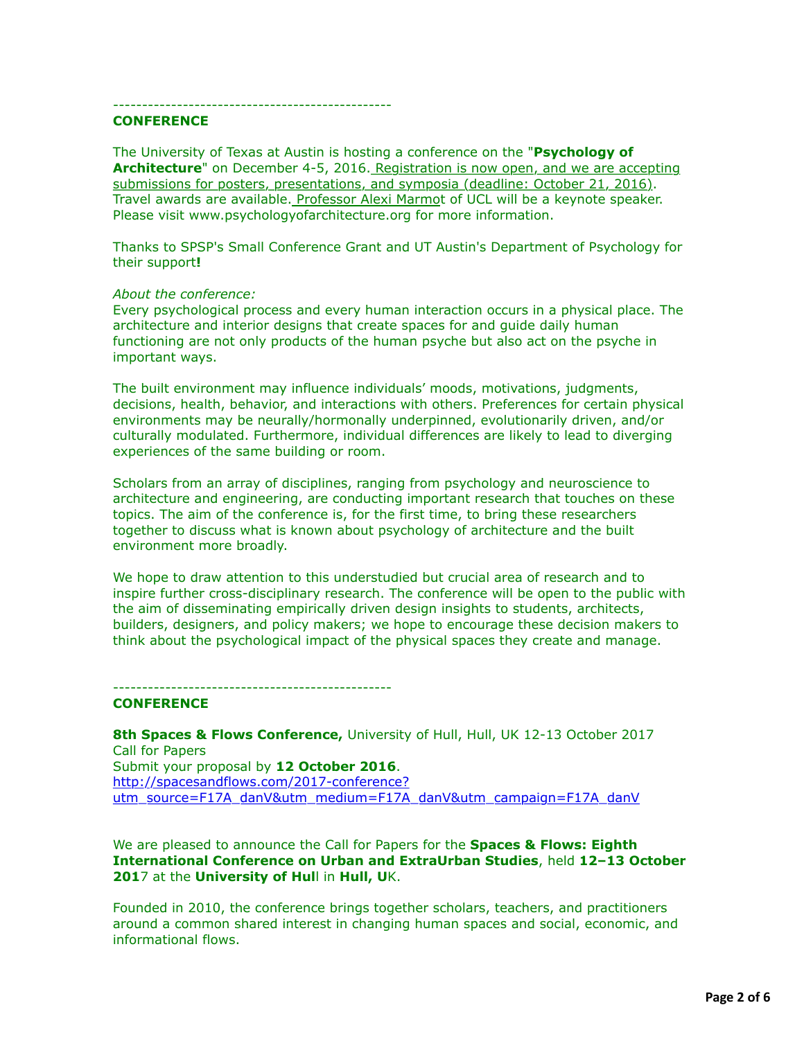------------------------------------------------

# **CONFERENCE**

The University of Texas at Austin is hosting a conference on the "**Psychology of Architecture**" on December 4-5, 2016. Registration is now open, and we are accepting submissions for posters, presentations, and symposia (deadline: October 21, 2016). Travel awards are available. Professor Alexi Marmot of UCL will be a keynote speaker. Please visit www.psychologyofarchitecture.org for more information.

Thanks to SPSP's Small Conference Grant and UT Austin's Department of Psychology for their support**!**

#### *About the conference:*

Every psychological process and every human interaction occurs in a physical place. The architecture and interior designs that create spaces for and guide daily human functioning are not only products of the human psyche but also act on the psyche in important ways.

The built environment may influence individuals' moods, motivations, judgments, decisions, health, behavior, and interactions with others. Preferences for certain physical environments may be neurally/hormonally underpinned, evolutionarily driven, and/or culturally modulated. Furthermore, individual differences are likely to lead to diverging experiences of the same building or room.

Scholars from an array of disciplines, ranging from psychology and neuroscience to architecture and engineering, are conducting important research that touches on these topics. The aim of the conference is, for the first time, to bring these researchers together to discuss what is known about psychology of architecture and the built environment more broadly.

We hope to draw attention to this understudied but crucial area of research and to inspire further cross-disciplinary research. The conference will be open to the public with the aim of disseminating empirically driven design insights to students, architects, builders, designers, and policy makers; we hope to encourage these decision makers to think about the psychological impact of the physical spaces they create and manage.

------------------------------------------------

#### **CONFERENCE**

8th Spaces & Flows Conference, University of Hull, Hull, UK 12-13 October 2017 Call for Papers Submit your proposal by **12 October 2016**. http://spacesandflows.com/2017-conference? [utm\\_source=F17A\\_danV&utm\\_medium=F17A\\_danV&utm\\_campaign=F17A\\_danV](http://spacesandflows.com/2017-conference?utm_source=F17A_danV&utm_medium=F17A_danV&utm_campaign=F17A_danV)

We are pleased to announce the Call for Papers for the **Spaces & Flows: Eighth International Conference on Urban and ExtraUrban Studies**, held **12–13 October 201**7 at the **University of Hul**l in **Hull, U**K.

Founded in 2010, the conference brings together scholars, teachers, and practitioners around a common shared interest in changing human spaces and social, economic, and informational flows.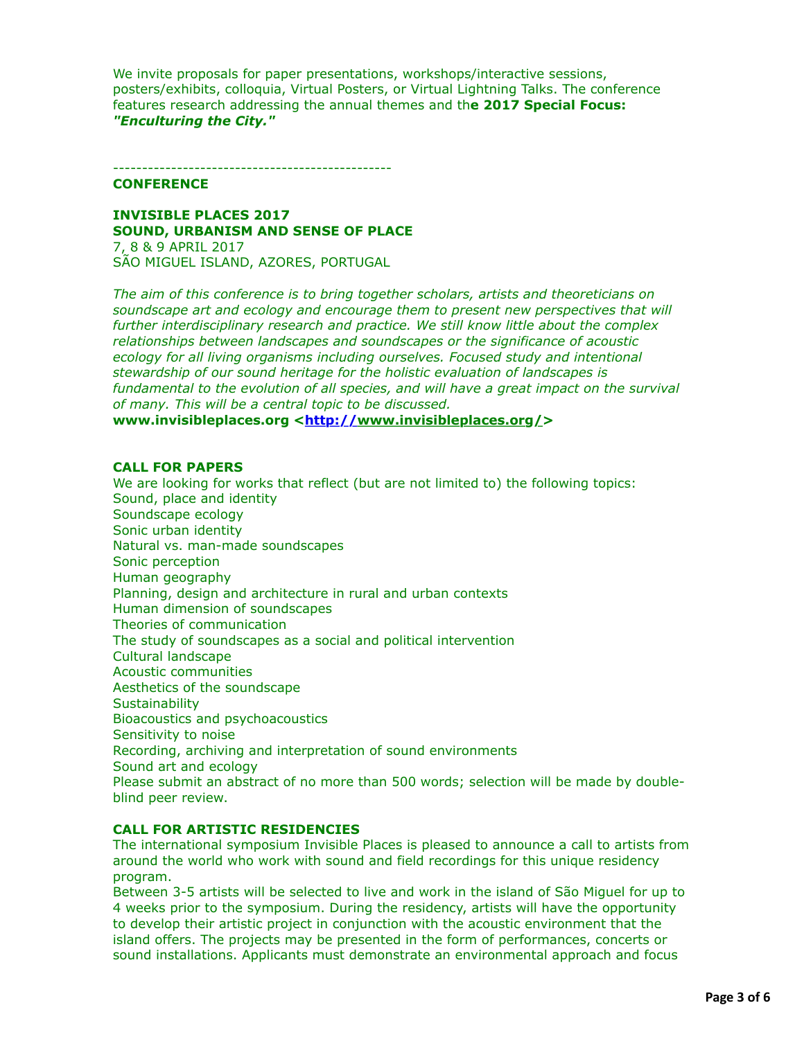We invite proposals for paper presentations, workshops/interactive sessions, posters/exhibits, colloquia, Virtual Posters, or Virtual Lightning Talks. The conference features research addressing the annual themes and th**e 2017 Special Focus:** *"Enculturing the City."*

------------------------------------------------

#### **CONFERENCE**

**INVISIBLE PLACES 2017 SOUND, URBANISM AND SENSE OF PLACE** 7, 8 & 9 APRIL 2017

SÃO MIGUEL ISLAND, AZORES, PORTUGAL

*The aim of this conference is to bring together scholars, artists and theoreticians on soundscape art and ecology and encourage them to present new perspectives that will further interdisciplinary research and practice. We still know little about the complex relationships between landscapes and soundscapes or the significance of acoustic ecology for all living organisms including ourselves. Focused study and intentional stewardship of our sound heritage for the holistic evaluation of landscapes is fundamental to the evolution of all species, and will have a great impact on the survival of many. This will be a central topic to be discussed.*

**www.invisibleplaces.org [<http://](http://)www.invisibleplaces.org/>** 

## **CALL FOR PAPERS**

We are looking for works that reflect (but are not limited to) the following topics: Sound, place and identity Soundscape ecology Sonic urban identity Natural vs. man-made soundscapes Sonic perception Human geography Planning, design and architecture in rural and urban contexts Human dimension of soundscapes Theories of communication The study of soundscapes as a social and political intervention Cultural landscape Acoustic communities Aesthetics of the soundscape **Sustainability** Bioacoustics and psychoacoustics Sensitivity to noise Recording, archiving and interpretation of sound environments Sound art and ecology Please submit an abstract of no more than 500 words; selection will be made by doubleblind peer review.

# **CALL FOR ARTISTIC RESIDENCIES**

The international symposium Invisible Places is pleased to announce a call to artists from around the world who work with sound and field recordings for this unique residency program.

Between 3-5 artists will be selected to live and work in the island of São Miguel for up to 4 weeks prior to the symposium. During the residency, artists will have the opportunity to develop their artistic project in conjunction with the acoustic environment that the island offers. The projects may be presented in the form of performances, concerts or sound installations. Applicants must demonstrate an environmental approach and focus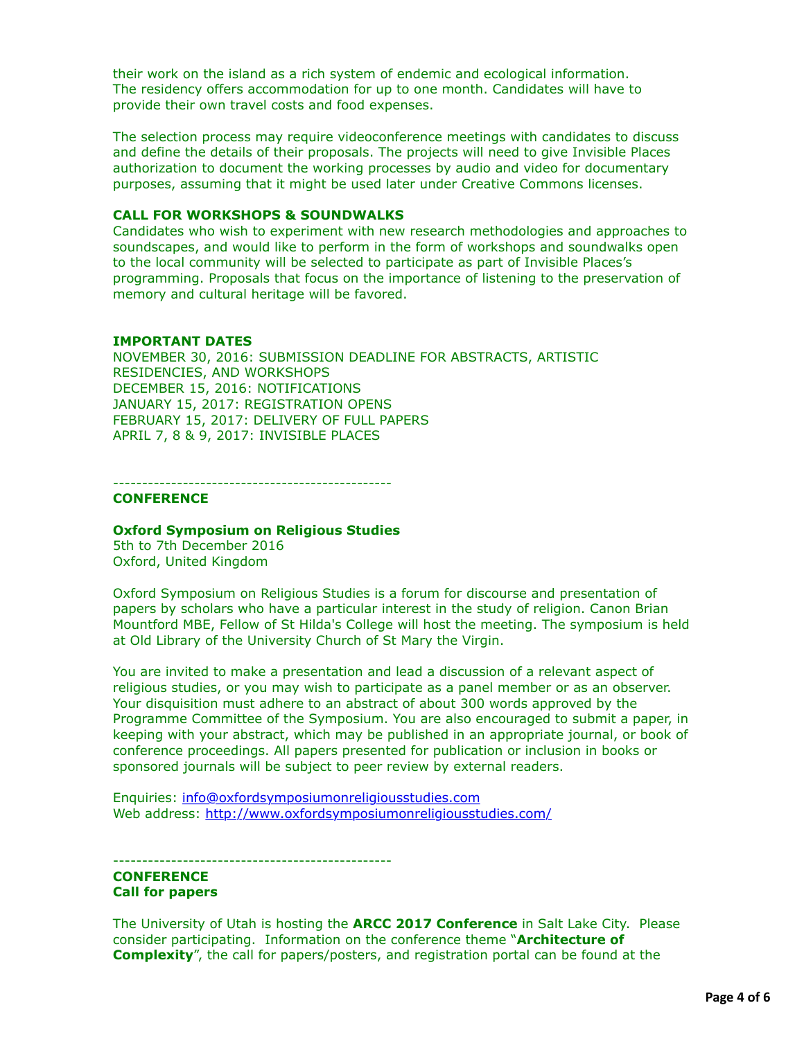their work on the island as a rich system of endemic and ecological information. The residency offers accommodation for up to one month. Candidates will have to provide their own travel costs and food expenses.

The selection process may require videoconference meetings with candidates to discuss and define the details of their proposals. The projects will need to give Invisible Places authorization to document the working processes by audio and video for documentary purposes, assuming that it might be used later under Creative Commons licenses.

## **CALL FOR WORKSHOPS & SOUNDWALKS**

Candidates who wish to experiment with new research methodologies and approaches to soundscapes, and would like to perform in the form of workshops and soundwalks open to the local community will be selected to participate as part of Invisible Places's programming. Proposals that focus on the importance of listening to the preservation of memory and cultural heritage will be favored.

## **IMPORTANT DATES**

NOVEMBER 30, 2016: SUBMISSION DEADLINE FOR ABSTRACTS, ARTISTIC RESIDENCIES, AND WORKSHOPS DECEMBER 15, 2016: NOTIFICATIONS JANUARY 15, 2017: REGISTRATION OPENS FEBRUARY 15, 2017: DELIVERY OF FULL PAPERS APRIL 7, 8 & 9, 2017: INVISIBLE PLACES

------------------------------------------------

## **CONFERENCE**

#### **Oxford Symposium on Religious Studies**

5th to 7th December 2016 Oxford, United Kingdom

Oxford Symposium on Religious Studies is a forum for discourse and presentation of papers by scholars who have a particular interest in the study of religion. Canon Brian Mountford MBE, Fellow of St Hilda's College will host the meeting. The symposium is held at Old Library of the University Church of St Mary the Virgin.

You are invited to make a presentation and lead a discussion of a relevant aspect of religious studies, or you may wish to participate as a panel member or as an observer. Your disquisition must adhere to an abstract of about 300 words approved by the Programme Committee of the Symposium. You are also encouraged to submit a paper, in keeping with your abstract, which may be published in an appropriate journal, or book of conference proceedings. All papers presented for publication or inclusion in books or sponsored journals will be subject to peer review by external readers.

Enquiries: [info@oxfordsymposiumonreligiousstudies.com](applewebdata://6B19B541-2CDD-4901-83DB-20740B738C18/info@oxfordsymposiumonreligiousstudies.com) Web address:<http://www.oxfordsymposiumonreligiousstudies.com/>

------------------------------------------------

#### **CONFERENCE Call for papers**

The University of Utah is hosting the **ARCC 2017 Conference** in Salt Lake City. Please consider participating. Information on the conference theme "**Architecture of Complexity**", the call for papers/posters, and registration portal can be found at the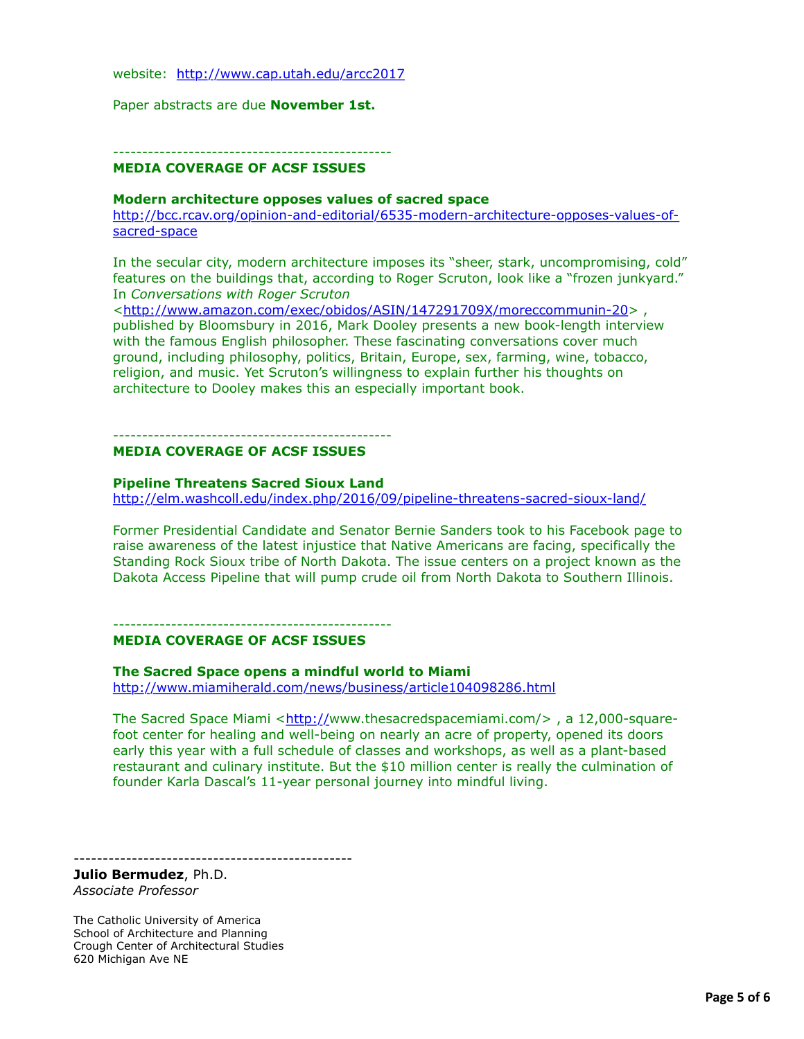website: <http://www.cap.utah.edu/arcc2017>

Paper abstracts are due **November 1st.**

------------------------------------------------ **MEDIA COVERAGE OF ACSF ISSUES**

#### **Modern architecture opposes values of sacred space**

[http://bcc.rcav.org/opinion-and-editorial/6535-modern-architecture-opposes-values-of](http://bcc.rcav.org/opinion-and-editorial/6535-modern-architecture-opposes-values-of-sacred-space)sacred-space

In the secular city, modern architecture imposes its "sheer, stark, uncompromising, cold" features on the buildings that, according to Roger Scruton, look like a "frozen junkyard." In *Conversations with Roger Scruton*

<<http://www.amazon.com/exec/obidos/ASIN/147291709X/moreccommunin-20>> , published by Bloomsbury in 2016, Mark Dooley presents a new book-length interview with the famous English philosopher. These fascinating conversations cover much ground, including philosophy, politics, Britain, Europe, sex, farming, wine, tobacco, religion, and music. Yet Scruton's willingness to explain further his thoughts on architecture to Dooley makes this an especially important book.

------------------------------------------------ **MEDIA COVERAGE OF ACSF ISSUES** 

# **Pipeline Threatens Sacred Sioux Land**

<http://elm.washcoll.edu/index.php/2016/09/pipeline-threatens-sacred-sioux-land/>

Former Presidential Candidate and Senator Bernie Sanders took to his Facebook page to raise awareness of the latest injustice that Native Americans are facing, specifically the Standing Rock Sioux tribe of North Dakota. The issue centers on a project known as the Dakota Access Pipeline that will pump crude oil from North Dakota to Southern Illinois.

------------------------------------------------

#### **MEDIA COVERAGE OF ACSF ISSUES**

**The Sacred Space opens a mindful world to Miami**

<http://www.miamiherald.com/news/business/article104098286.html>

The Sacred Space Miami  $\frac{\text{http://www.thesacredspacemiami.com/}}{\text{m}}$  $\frac{\text{http://www.thesacredspacemiami.com/}}{\text{m}}$  $\frac{\text{http://www.thesacredspacemiami.com/}}{\text{m}}$ , a 12,000-squarefoot center for healing and well-being on nearly an acre of property, opened its doors early this year with a full schedule of classes and workshops, as well as a plant-based restaurant and culinary institute. But the \$10 million center is really the culmination of founder Karla Dascal's 11-year personal journey into mindful living.

------------------------------------------------

**Julio Bermudez**, Ph.D. *Associate Professor*

The Catholic University of America School of Architecture and Planning Crough Center of Architectural Studies 620 Michigan Ave NE